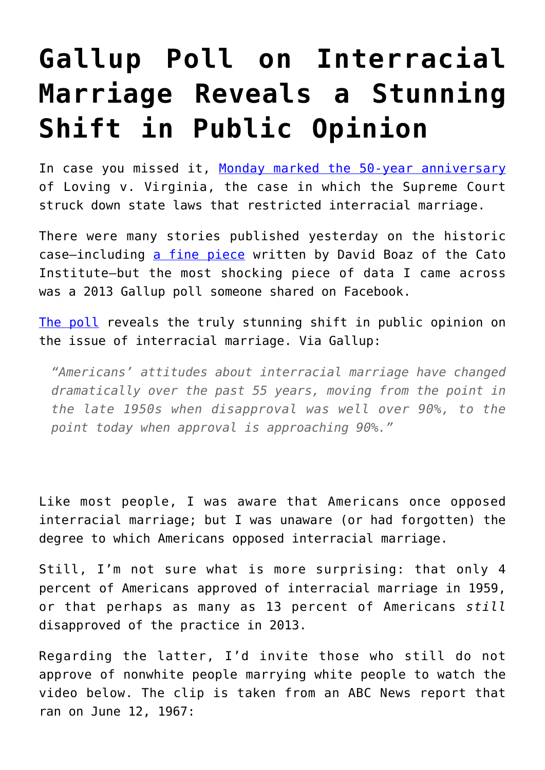## **[Gallup Poll on Interracial](https://intellectualtakeout.org/2017/06/gallup-poll-on-interracial-marriage-reveals-a-stunning-shift-in-public-opinion/) [Marriage Reveals a Stunning](https://intellectualtakeout.org/2017/06/gallup-poll-on-interracial-marriage-reveals-a-stunning-shift-in-public-opinion/) [Shift in Public Opinion](https://intellectualtakeout.org/2017/06/gallup-poll-on-interracial-marriage-reveals-a-stunning-shift-in-public-opinion/)**

In case you missed it, [Monday marked the 50-year anniversary](https://www.nytimes.com/interactive/2017/06/12/opinion/loving-virginia-50-year-anniversary.html) of Loving v. Virginia, the case in which the Supreme Court struck down state laws that restricted interracial marriage.

There were many stories published yesterday on the historic case—including [a fine piece](https://www.cato.org/blog/50-years-loving) written by David Boaz of the Cato Institute—but the most shocking piece of data I came across was a 2013 Gallup poll someone shared on Facebook.

[The poll](http://www.gallup.com/poll/163697/approve-marriage-blacks-whites.aspx) reveals the truly stunning shift in public opinion on the issue of interracial marriage. Via Gallup:

*"Americans' attitudes about interracial marriage have changed dramatically over the past 55 years, moving from the point in the late 1950s when disapproval was well over 90%, to the point today when approval is approaching 90%."*

Like most people, I was aware that Americans once opposed interracial marriage; but I was unaware (or had forgotten) the degree to which Americans opposed interracial marriage.

Still, I'm not sure what is more surprising: that only 4 percent of Americans approved of interracial marriage in 1959, or that perhaps as many as 13 percent of Americans *still* disapproved of the practice in 2013.

Regarding the latter, I'd invite those who still do not approve of nonwhite people marrying white people to watch the video below. The clip is taken from an ABC News report that ran on June 12, 1967: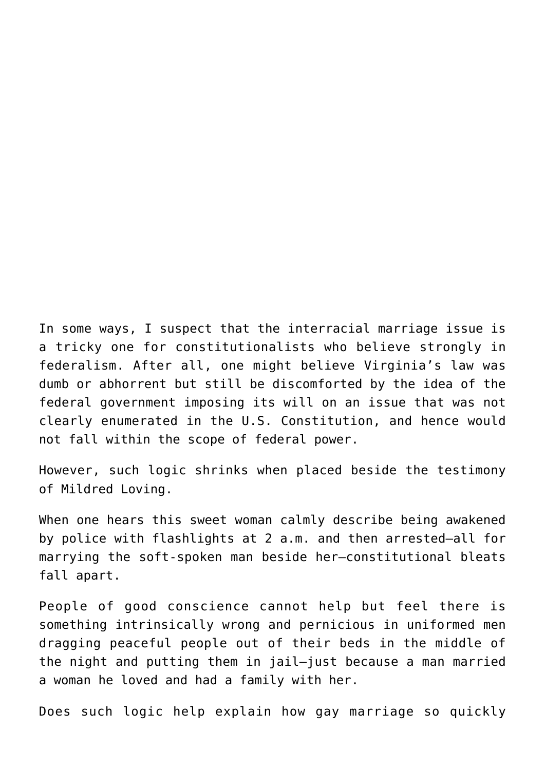In some ways, I suspect that the interracial marriage issue is a tricky one for constitutionalists who believe strongly in federalism. After all, one might believe Virginia's law was dumb or abhorrent but still be discomforted by the idea of the federal government imposing its will on an issue that was not clearly enumerated in the U.S. Constitution, and hence would not fall within the scope of federal power.

However, such logic shrinks when placed beside the testimony of Mildred Loving.

When one hears this sweet woman calmly describe being awakened by police with flashlights at 2 a.m. and then arrested—all for marrying the soft-spoken man beside her—constitutional bleats fall apart.

People of good conscience cannot help but feel there is something intrinsically wrong and pernicious in uniformed men dragging peaceful people out of their beds in the middle of the night and putting them in jail—just because a man married a woman he loved and had a family with her.

Does such logic help explain how gay marriage so quickly